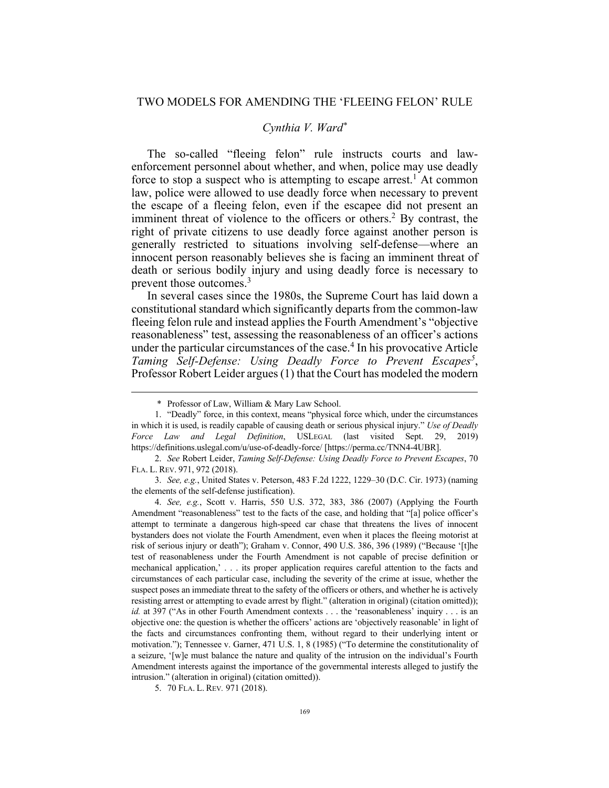## *Cynthia V. Ward\**

The so-called "fleeing felon" rule instructs courts and lawenforcement personnel about whether, and when, police may use deadly force to stop a suspect who is attempting to escape arrest.<sup>1</sup> At common law, police were allowed to use deadly force when necessary to prevent the escape of a fleeing felon, even if the escapee did not present an imminent threat of violence to the officers or others.<sup>2</sup> By contrast, the right of private citizens to use deadly force against another person is generally restricted to situations involving self-defense—where an innocent person reasonably believes she is facing an imminent threat of death or serious bodily injury and using deadly force is necessary to prevent those outcomes.<sup>3</sup>

In several cases since the 1980s, the Supreme Court has laid down a constitutional standard which significantly departs from the common-law fleeing felon rule and instead applies the Fourth Amendment's "objective reasonableness" test, assessing the reasonableness of an officer's actions under the particular circumstances of the case.<sup>4</sup> In his provocative Article Taming Self-Defense: Using Deadly Force to Prevent Escapes<sup>5</sup>, Professor Robert Leider argues (1) that the Court has modeled the modern

2. *See* Robert Leider, *Taming Self-Defense: Using Deadly Force to Prevent Escapes*, 70 FLA. L. REV. 971, 972 (2018).

3. *See, e.g.*, United States v. Peterson, 483 F.2d 1222, 1229–30 (D.C. Cir. 1973) (naming the elements of the self-defense justification).

4. *See, e.g.*, Scott v. Harris, 550 U.S. 372, 383, 386 (2007) (Applying the Fourth Amendment "reasonableness" test to the facts of the case, and holding that "[a] police officer's attempt to terminate a dangerous high-speed car chase that threatens the lives of innocent bystanders does not violate the Fourth Amendment, even when it places the fleeing motorist at risk of serious injury or death"); Graham v. Connor, 490 U.S. 386, 396 (1989) ("Because '[t]he test of reasonableness under the Fourth Amendment is not capable of precise definition or mechanical application,' . . . its proper application requires careful attention to the facts and circumstances of each particular case, including the severity of the crime at issue, whether the suspect poses an immediate threat to the safety of the officers or others, and whether he is actively resisting arrest or attempting to evade arrest by flight." (alteration in original) (citation omitted)); *id.* at 397 ("As in other Fourth Amendment contexts . . . the 'reasonableness' inquiry . . . is an objective one: the question is whether the officers' actions are 'objectively reasonable' in light of the facts and circumstances confronting them, without regard to their underlying intent or motivation."); Tennessee v. Garner, 471 U.S. 1, 8 (1985) ("To determine the constitutionality of a seizure, '[w]e must balance the nature and quality of the intrusion on the individual's Fourth Amendment interests against the importance of the governmental interests alleged to justify the intrusion." (alteration in original) (citation omitted)).

5. 70 FLA. L. REV*.* 971 (2018).

<sup>\*</sup> Professor of Law, William & Mary Law School.

<sup>1.</sup> "Deadly" force, in this context, means "physical force which, under the circumstances in which it is used, is readily capable of causing death or serious physical injury." *Use of Deadly Force Law and Legal Definition*, USLEGAL (last visited Sept. 29, 2019) https://definitions.uslegal.com/u/use-of-deadly-force/ [https://perma.cc/TNN4-4UBR].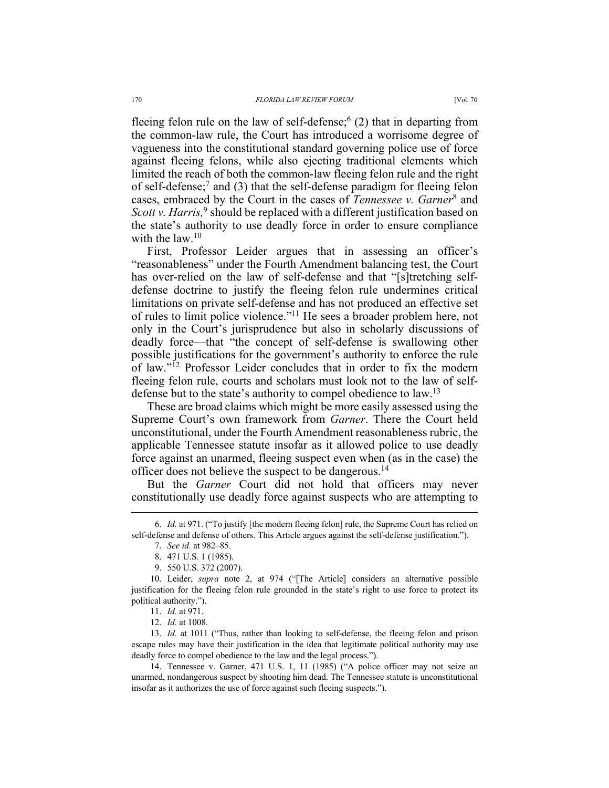fleeing felon rule on the law of self-defense;  $(2)$  that in departing from the common-law rule, the Court has introduced a worrisome degree of vagueness into the constitutional standard governing police use of force against fleeing felons, while also ejecting traditional elements which limited the reach of both the common-law fleeing felon rule and the right of self-defense;7 and (3) that the self-defense paradigm for fleeing felon cases, embraced by the Court in the cases of *Tennessee v. Garner*<sup>8</sup> and Scott v. Harris,<sup>9</sup> should be replaced with a different justification based on the state's authority to use deadly force in order to ensure compliance with the  $law<sup>10</sup>$ 

First, Professor Leider argues that in assessing an officer's "reasonableness" under the Fourth Amendment balancing test, the Court has over-relied on the law of self-defense and that "[s]tretching selfdefense doctrine to justify the fleeing felon rule undermines critical limitations on private self-defense and has not produced an effective set of rules to limit police violence."11 He sees a broader problem here, not only in the Court's jurisprudence but also in scholarly discussions of deadly force—that "the concept of self-defense is swallowing other possible justifications for the government's authority to enforce the rule of law."12 Professor Leider concludes that in order to fix the modern fleeing felon rule, courts and scholars must look not to the law of selfdefense but to the state's authority to compel obedience to law.<sup>13</sup>

These are broad claims which might be more easily assessed using the Supreme Court's own framework from *Garner*. There the Court held unconstitutional, under the Fourth Amendment reasonableness rubric, the applicable Tennessee statute insofar as it allowed police to use deadly force against an unarmed, fleeing suspect even when (as in the case) the officer does not believe the suspect to be dangerous.14

But the *Garner* Court did not hold that officers may never constitutionally use deadly force against suspects who are attempting to

<sup>6.</sup> *Id.* at 971. ("To justify [the modern fleeing felon] rule, the Supreme Court has relied on self-defense and defense of others. This Article argues against the self-defense justification.").

<sup>7.</sup> *See id.* at 982–85.

<sup>8.</sup> 471 U.S. 1 (1985).

<sup>9.</sup> 550 U.S. 372 (2007).

<sup>10.</sup> Leider, *supra* note 2, at 974 ("[The Article] considers an alternative possible justification for the fleeing felon rule grounded in the state's right to use force to protect its political authority.").

<sup>11.</sup> *Id.* at 971.

<sup>12.</sup> *Id.* at 1008.

<sup>13.</sup> *Id.* at 1011 ("Thus, rather than looking to self-defense, the fleeing felon and prison escape rules may have their justification in the idea that legitimate political authority may use deadly force to compel obedience to the law and the legal process.").

<sup>14.</sup> Tennessee v. Garner, 471 U.S. 1, 11 (1985) ("A police officer may not seize an unarmed, nondangerous suspect by shooting him dead. The Tennessee statute is unconstitutional insofar as it authorizes the use of force against such fleeing suspects.").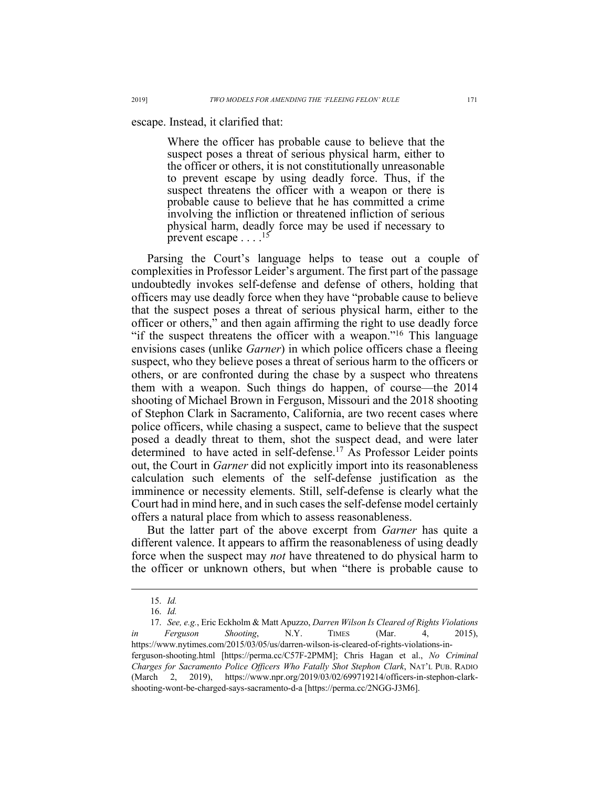escape. Instead, it clarified that:

Where the officer has probable cause to believe that the suspect poses a threat of serious physical harm, either to the officer or others, it is not constitutionally unreasonable to prevent escape by using deadly force. Thus, if the suspect threatens the officer with a weapon or there is probable cause to believe that he has committed a crime involving the infliction or threatened infliction of serious physical harm, deadly force may be used if necessary to prevent escape  $\dots$ <sup>15</sup>

Parsing the Court's language helps to tease out a couple of complexities in Professor Leider's argument. The first part of the passage undoubtedly invokes self-defense and defense of others, holding that officers may use deadly force when they have "probable cause to believe that the suspect poses a threat of serious physical harm, either to the officer or others," and then again affirming the right to use deadly force "if the suspect threatens the officer with a weapon."<sup>16</sup> This language envisions cases (unlike *Garner*) in which police officers chase a fleeing suspect, who they believe poses a threat of serious harm to the officers or others, or are confronted during the chase by a suspect who threatens them with a weapon. Such things do happen, of course—the 2014 shooting of Michael Brown in Ferguson, Missouri and the 2018 shooting of Stephon Clark in Sacramento, California, are two recent cases where police officers, while chasing a suspect, came to believe that the suspect posed a deadly threat to them, shot the suspect dead, and were later determined to have acted in self-defense.<sup>17</sup> As Professor Leider points out, the Court in *Garner* did not explicitly import into its reasonableness calculation such elements of the self-defense justification as the imminence or necessity elements. Still, self-defense is clearly what the Court had in mind here, and in such cases the self-defense model certainly offers a natural place from which to assess reasonableness.

But the latter part of the above excerpt from *Garner* has quite a different valence. It appears to affirm the reasonableness of using deadly force when the suspect may *not* have threatened to do physical harm to the officer or unknown others, but when "there is probable cause to

<sup>15.</sup> *Id.*

<sup>16.</sup> *Id.*

<sup>17.</sup> *See, e.g.*, Eric Eckholm & Matt Apuzzo, *Darren Wilson Is Cleared of Rights Violations in Ferguson Shooting*, N.Y. TIMES (Mar. 4, 2015), https://www.nytimes.com/2015/03/05/us/darren-wilson-is-cleared-of-rights-violations-inferguson-shooting.html [https://perma.cc/C57F-2PMM]; Chris Hagan et al., *No Criminal Charges for Sacramento Police Officers Who Fatally Shot Stephon Clark*, NAT'L PUB. RADIO (March 2, 2019), https://www.npr.org/2019/03/02/699719214/officers-in-stephon-clarkshooting-wont-be-charged-says-sacramento-d-a [https://perma.cc/2NGG-J3M6].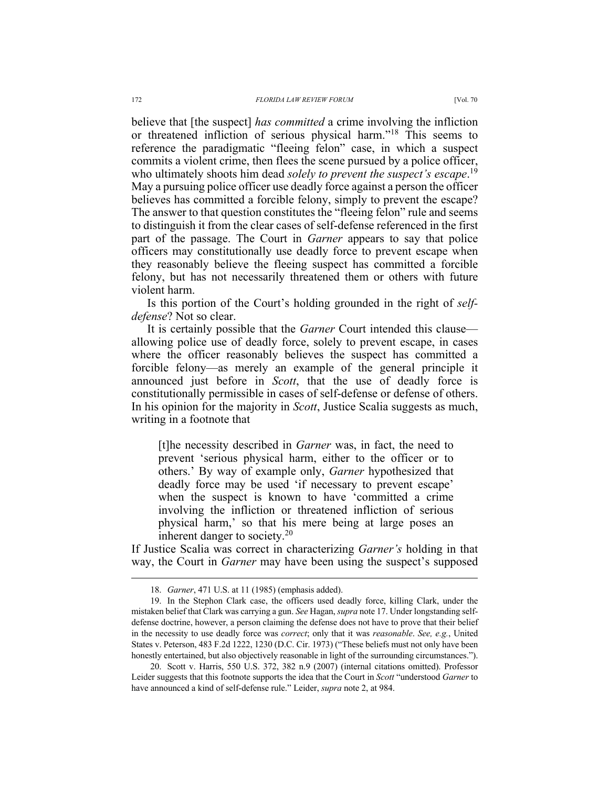believe that [the suspect] *has committed* a crime involving the infliction or threatened infliction of serious physical harm."18 This seems to reference the paradigmatic "fleeing felon" case, in which a suspect commits a violent crime, then flees the scene pursued by a police officer, who ultimately shoots him dead *solely to prevent the suspect's escape*. 19 May a pursuing police officer use deadly force against a person the officer believes has committed a forcible felony, simply to prevent the escape? The answer to that question constitutes the "fleeing felon" rule and seems to distinguish it from the clear cases of self-defense referenced in the first part of the passage. The Court in *Garner* appears to say that police officers may constitutionally use deadly force to prevent escape when they reasonably believe the fleeing suspect has committed a forcible felony, but has not necessarily threatened them or others with future violent harm.

Is this portion of the Court's holding grounded in the right of *selfdefense*? Not so clear.

It is certainly possible that the *Garner* Court intended this clause allowing police use of deadly force, solely to prevent escape, in cases where the officer reasonably believes the suspect has committed a forcible felony—as merely an example of the general principle it announced just before in *Scott*, that the use of deadly force is constitutionally permissible in cases of self-defense or defense of others. In his opinion for the majority in *Scott*, Justice Scalia suggests as much, writing in a footnote that

[t]he necessity described in *Garner* was, in fact, the need to prevent 'serious physical harm, either to the officer or to others.' By way of example only, *Garner* hypothesized that deadly force may be used 'if necessary to prevent escape' when the suspect is known to have 'committed a crime involving the infliction or threatened infliction of serious physical harm,' so that his mere being at large poses an inherent danger to society.<sup>20</sup>

If Justice Scalia was correct in characterizing *Garner's* holding in that way, the Court in *Garner* may have been using the suspect's supposed

<sup>18.</sup> *Garner*, 471 U.S. at 11 (1985) (emphasis added).

<sup>19.</sup> In the Stephon Clark case, the officers used deadly force, killing Clark, under the mistaken belief that Clark was carrying a gun. *See* Hagan, *supra* note 17. Under longstanding selfdefense doctrine, however, a person claiming the defense does not have to prove that their belief in the necessity to use deadly force was *correct*; only that it was *reasonable*. *See, e.g.*, United States v. Peterson, 483 F.2d 1222, 1230 (D.C. Cir. 1973) ("These beliefs must not only have been honestly entertained, but also objectively reasonable in light of the surrounding circumstances.").

<sup>20.</sup> Scott v. Harris, 550 U.S. 372, 382 n.9 (2007) (internal citations omitted). Professor Leider suggests that this footnote supports the idea that the Court in *Scott* "understood *Garner* to have announced a kind of self-defense rule." Leider, *supra* note 2, at 984.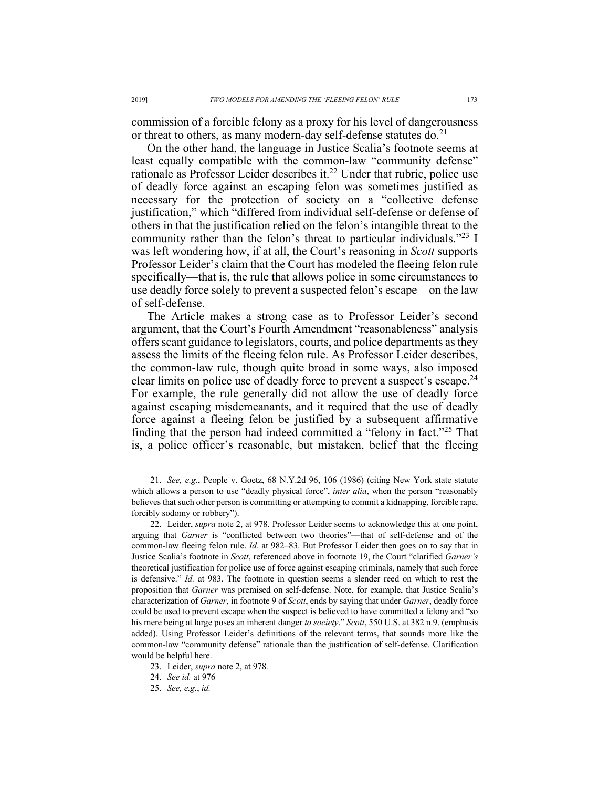commission of a forcible felony as a proxy for his level of dangerousness or threat to others, as many modern-day self-defense statutes  $do.^{21}$ 

On the other hand, the language in Justice Scalia's footnote seems at least equally compatible with the common-law "community defense" rationale as Professor Leider describes it.<sup>22</sup> Under that rubric, police use of deadly force against an escaping felon was sometimes justified as necessary for the protection of society on a "collective defense justification," which "differed from individual self-defense or defense of others in that the justification relied on the felon's intangible threat to the community rather than the felon's threat to particular individuals."23 I was left wondering how, if at all, the Court's reasoning in *Scott* supports Professor Leider's claim that the Court has modeled the fleeing felon rule specifically—that is, the rule that allows police in some circumstances to use deadly force solely to prevent a suspected felon's escape—on the law of self-defense.

The Article makes a strong case as to Professor Leider's second argument, that the Court's Fourth Amendment "reasonableness" analysis offers scant guidance to legislators, courts, and police departments as they assess the limits of the fleeing felon rule. As Professor Leider describes, the common-law rule, though quite broad in some ways, also imposed clear limits on police use of deadly force to prevent a suspect's escape.<sup>24</sup> For example, the rule generally did not allow the use of deadly force against escaping misdemeanants, and it required that the use of deadly force against a fleeing felon be justified by a subsequent affirmative finding that the person had indeed committed a "felony in fact."25 That is, a police officer's reasonable, but mistaken, belief that the fleeing

<sup>21.</sup> *See, e.g.*, People v. Goetz, 68 N.Y.2d 96, 106 (1986) (citing New York state statute which allows a person to use "deadly physical force", *inter alia*, when the person "reasonably believes that such other person is committing or attempting to commit a kidnapping, forcible rape, forcibly sodomy or robbery").

<sup>22.</sup> Leider, *supra* note 2, at 978. Professor Leider seems to acknowledge this at one point, arguing that *Garner* is "conflicted between two theories"—that of self-defense and of the common-law fleeing felon rule. *Id.* at 982–83. But Professor Leider then goes on to say that in Justice Scalia's footnote in *Scott*, referenced above in footnote 19, the Court "clarified *Garner's*  theoretical justification for police use of force against escaping criminals, namely that such force is defensive." *Id.* at 983. The footnote in question seems a slender reed on which to rest the proposition that *Garner* was premised on self-defense. Note, for example, that Justice Scalia's characterization of *Garner*, in footnote 9 of *Scott*, ends by saying that under *Garner*, deadly force could be used to prevent escape when the suspect is believed to have committed a felony and "so his mere being at large poses an inherent danger *to society*." *Scott*, 550 U.S. at 382 n.9. (emphasis added). Using Professor Leider's definitions of the relevant terms, that sounds more like the common-law "community defense" rationale than the justification of self-defense. Clarification would be helpful here.

<sup>23.</sup> Leider, *supra* note 2, at 978*.*

<sup>24.</sup> *See id.* at 976

<sup>25.</sup> *See, e.g.*, *id.*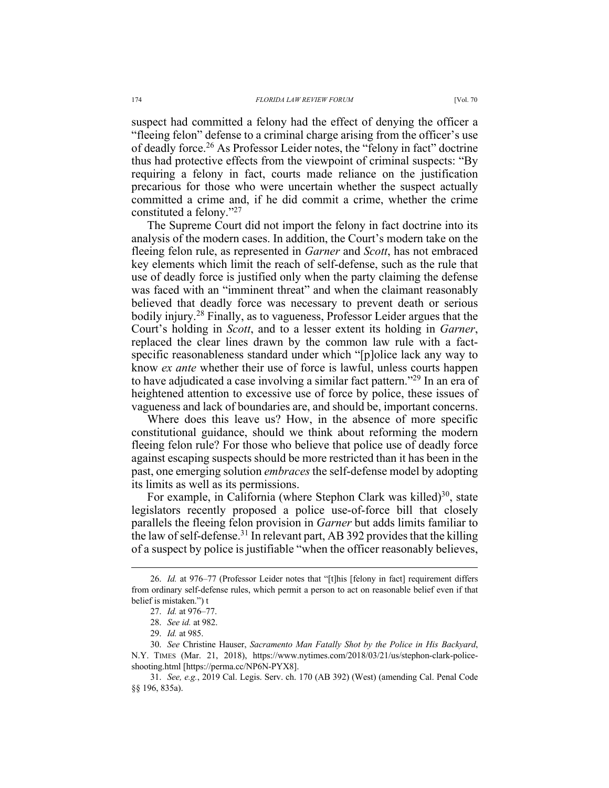suspect had committed a felony had the effect of denying the officer a "fleeing felon" defense to a criminal charge arising from the officer's use of deadly force.26 As Professor Leider notes, the "felony in fact" doctrine thus had protective effects from the viewpoint of criminal suspects: "By requiring a felony in fact, courts made reliance on the justification precarious for those who were uncertain whether the suspect actually committed a crime and, if he did commit a crime, whether the crime constituted a felony."27

The Supreme Court did not import the felony in fact doctrine into its analysis of the modern cases. In addition, the Court's modern take on the fleeing felon rule, as represented in *Garner* and *Scott*, has not embraced key elements which limit the reach of self-defense, such as the rule that use of deadly force is justified only when the party claiming the defense was faced with an "imminent threat" and when the claimant reasonably believed that deadly force was necessary to prevent death or serious bodily injury.28 Finally, as to vagueness, Professor Leider argues that the Court's holding in *Scott*, and to a lesser extent its holding in *Garner*, replaced the clear lines drawn by the common law rule with a factspecific reasonableness standard under which "[p]olice lack any way to know *ex ante* whether their use of force is lawful, unless courts happen to have adjudicated a case involving a similar fact pattern."29 In an era of heightened attention to excessive use of force by police, these issues of vagueness and lack of boundaries are, and should be, important concerns.

Where does this leave us? How, in the absence of more specific constitutional guidance, should we think about reforming the modern fleeing felon rule? For those who believe that police use of deadly force against escaping suspects should be more restricted than it has been in the past, one emerging solution *embraces* the self-defense model by adopting its limits as well as its permissions.

For example, in California (where Stephon Clark was killed) $30$ , state legislators recently proposed a police use-of-force bill that closely parallels the fleeing felon provision in *Garner* but adds limits familiar to the law of self-defense.<sup>31</sup> In relevant part, AB 392 provides that the killing of a suspect by police is justifiable "when the officer reasonably believes,

<sup>26.</sup> *Id.* at 976–77 (Professor Leider notes that "[t]his [felony in fact] requirement differs from ordinary self-defense rules, which permit a person to act on reasonable belief even if that belief is mistaken.") t

<sup>27.</sup> *Id.* at 976–77.

<sup>28.</sup> *See id.* at 982.

<sup>29.</sup> *Id.* at 985.

<sup>30.</sup> *See* Christine Hauser, *Sacramento Man Fatally Shot by the Police in His Backyard*, N.Y. TIMES (Mar. 21, 2018), https://www.nytimes.com/2018/03/21/us/stephon-clark-policeshooting.html [https://perma.cc/NP6N-PYX8].

<sup>31.</sup> *See, e.g.*, 2019 Cal. Legis. Serv. ch. 170 (AB 392) (West) (amending Cal. Penal Code §§ 196, 835a).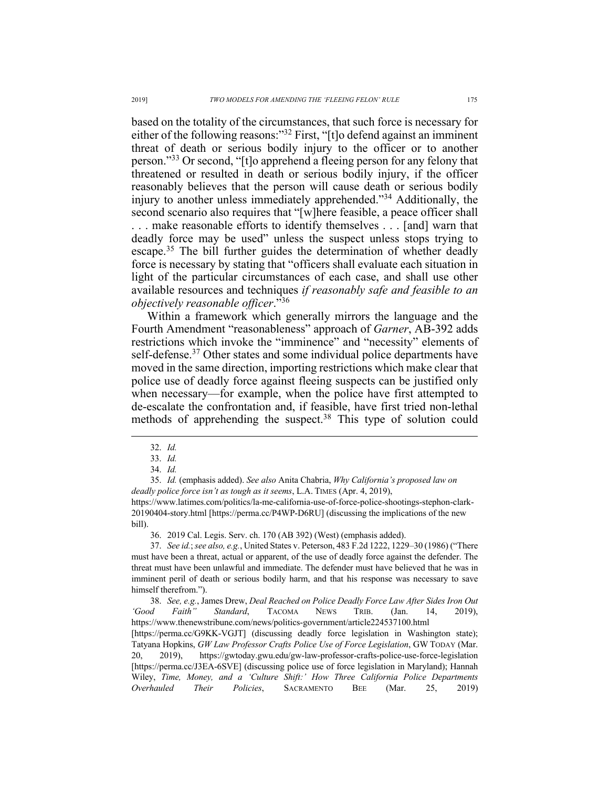based on the totality of the circumstances, that such force is necessary for either of the following reasons:"<sup>32</sup> First, "[t]o defend against an imminent threat of death or serious bodily injury to the officer or to another person."33 Or second, "[t]o apprehend a fleeing person for any felony that threatened or resulted in death or serious bodily injury, if the officer reasonably believes that the person will cause death or serious bodily injury to another unless immediately apprehended."34 Additionally, the second scenario also requires that "[w]here feasible, a peace officer shall . . . make reasonable efforts to identify themselves . . . [and] warn that deadly force may be used" unless the suspect unless stops trying to escape.<sup>35</sup> The bill further guides the determination of whether deadly force is necessary by stating that "officers shall evaluate each situation in light of the particular circumstances of each case, and shall use other available resources and techniques *if reasonably safe and feasible to an objectively reasonable officer*."36

Within a framework which generally mirrors the language and the Fourth Amendment "reasonableness" approach of *Garner*, AB-392 adds restrictions which invoke the "imminence" and "necessity" elements of self-defense.<sup>37</sup> Other states and some individual police departments have moved in the same direction, importing restrictions which make clear that police use of deadly force against fleeing suspects can be justified only when necessary—for example, when the police have first attempted to de-escalate the confrontation and, if feasible, have first tried non-lethal methods of apprehending the suspect.<sup>38</sup> This type of solution could

35. *Id.* (emphasis added). *See also* Anita Chabria, *Why California's proposed law on deadly police force isn't as tough as it seems*, L.A. TIMES (Apr. 4, 2019), https://www.latimes.com/politics/la-me-california-use-of-force-police-shootings-stephon-clark-20190404-story.html [https://perma.cc/P4WP-D6RU] (discussing the implications of the new bill).

36. 2019 Cal. Legis. Serv. ch. 170 (AB 392) (West) (emphasis added).

37. *See id.*;*see also, e.g.*, United States v. Peterson, 483 F.2d 1222, 1229–30 (1986) ("There must have been a threat, actual or apparent, of the use of deadly force against the defender. The threat must have been unlawful and immediate. The defender must have believed that he was in imminent peril of death or serious bodily harm, and that his response was necessary to save himself therefrom.").

38. *See, e.g.*, James Drew, *Deal Reached on Police Deadly Force Law After Sides Iron Out 'Good Faith" Standard*, TACOMA NEWS TRIB. (Jan. 14, 2019), https://www.thenewstribune.com/news/politics-government/article224537100.html [https://perma.cc/G9KK-VGJT] (discussing deadly force legislation in Washington state); Tatyana Hopkins, *GW Law Professor Crafts Police Use of Force Legislation*, GW TODAY (Mar. 20, 2019), https://gwtoday.gwu.edu/gw-law-professor-crafts-police-use-force-legislation [https://perma.cc/J3EA-6SVE] (discussing police use of force legislation in Maryland); Hannah Wiley, *Time, Money, and a 'Culture Shift:' How Three California Police Departments Overhauled Their Policies*, SACRAMENTO BEE (Mar. 25, 2019)

<sup>32.</sup> *Id.* 

<sup>33.</sup> *Id.* 

<sup>34.</sup> *Id.*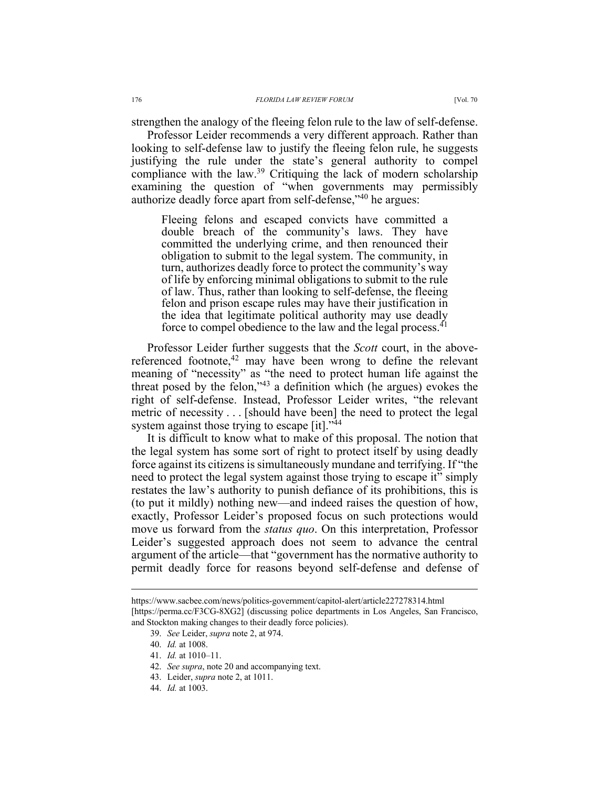strengthen the analogy of the fleeing felon rule to the law of self-defense.

Professor Leider recommends a very different approach. Rather than looking to self-defense law to justify the fleeing felon rule, he suggests justifying the rule under the state's general authority to compel compliance with the law.<sup>39</sup> Critiquing the lack of modern scholarship examining the question of "when governments may permissibly authorize deadly force apart from self-defense,"40 he argues:

Fleeing felons and escaped convicts have committed a double breach of the community's laws. They have committed the underlying crime, and then renounced their obligation to submit to the legal system. The community, in turn, authorizes deadly force to protect the community's way of life by enforcing minimal obligations to submit to the rule of law. Thus, rather than looking to self-defense, the fleeing felon and prison escape rules may have their justification in the idea that legitimate political authority may use deadly force to compel obedience to the law and the legal process.<sup>41</sup>

Professor Leider further suggests that the *Scott* court, in the abovereferenced footnote,<sup>42</sup> may have been wrong to define the relevant meaning of "necessity" as "the need to protect human life against the threat posed by the felon,"43 a definition which (he argues) evokes the right of self-defense. Instead, Professor Leider writes, "the relevant metric of necessity . . . [should have been] the need to protect the legal system against those trying to escape [it]."<sup>44</sup>

It is difficult to know what to make of this proposal. The notion that the legal system has some sort of right to protect itself by using deadly force against its citizens is simultaneously mundane and terrifying. If "the need to protect the legal system against those trying to escape it" simply restates the law's authority to punish defiance of its prohibitions, this is (to put it mildly) nothing new—and indeed raises the question of how, exactly, Professor Leider's proposed focus on such protections would move us forward from the *status quo*. On this interpretation, Professor Leider's suggested approach does not seem to advance the central argument of the article—that "government has the normative authority to permit deadly force for reasons beyond self-defense and defense of

https://www.sacbee.com/news/politics-government/capitol-alert/article227278314.html [https://perma.cc/F3CG-8XG2] (discussing police departments in Los Angeles, San Francisco, and Stockton making changes to their deadly force policies).

<sup>39.</sup> *See* Leider, *supra* note 2, at 974.

<sup>40.</sup> *Id.* at 1008.

<sup>41.</sup> *Id.* at 1010–11.

<sup>42.</sup> *See supra*, note 20 and accompanying text.

<sup>43.</sup> Leider, *supra* note 2, at 1011.

<sup>44.</sup> *Id.* at 1003.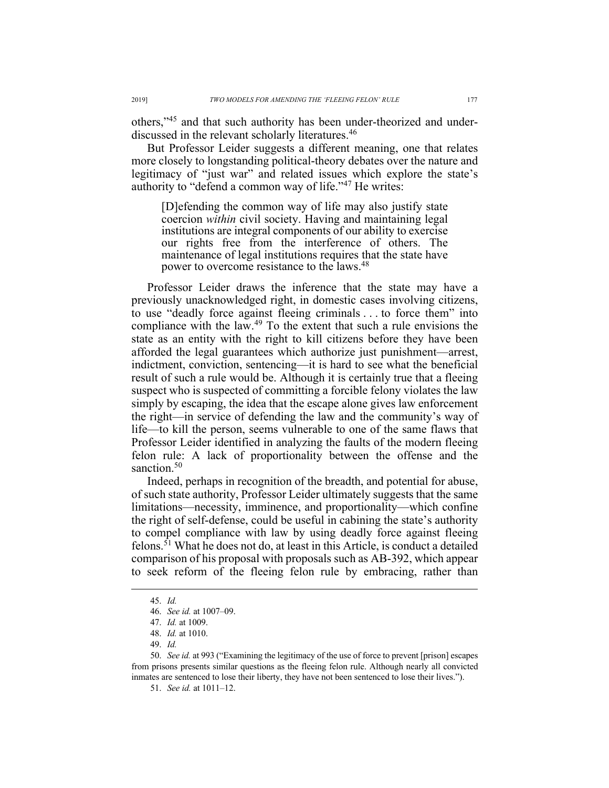others,"45 and that such authority has been under-theorized and underdiscussed in the relevant scholarly literatures.<sup>46</sup>

But Professor Leider suggests a different meaning, one that relates more closely to longstanding political-theory debates over the nature and legitimacy of "just war" and related issues which explore the state's authority to "defend a common way of life."<sup>47</sup> He writes:

[D]efending the common way of life may also justify state coercion *within* civil society. Having and maintaining legal institutions are integral components of our ability to exercise our rights free from the interference of others. The maintenance of legal institutions requires that the state have power to overcome resistance to the laws.<sup>48</sup>

Professor Leider draws the inference that the state may have a previously unacknowledged right, in domestic cases involving citizens, to use "deadly force against fleeing criminals . . . to force them" into compliance with the law.49 To the extent that such a rule envisions the state as an entity with the right to kill citizens before they have been afforded the legal guarantees which authorize just punishment—arrest, indictment, conviction, sentencing—it is hard to see what the beneficial result of such a rule would be. Although it is certainly true that a fleeing suspect who is suspected of committing a forcible felony violates the law simply by escaping, the idea that the escape alone gives law enforcement the right—in service of defending the law and the community's way of life—to kill the person, seems vulnerable to one of the same flaws that Professor Leider identified in analyzing the faults of the modern fleeing felon rule: A lack of proportionality between the offense and the sanction.<sup>50</sup>

Indeed, perhaps in recognition of the breadth, and potential for abuse, of such state authority, Professor Leider ultimately suggests that the same limitations—necessity, imminence, and proportionality—which confine the right of self-defense, could be useful in cabining the state's authority to compel compliance with law by using deadly force against fleeing felons.51 What he does not do, at least in this Article, is conduct a detailed comparison of his proposal with proposals such as AB-392, which appear to seek reform of the fleeing felon rule by embracing, rather than

<sup>45.</sup> *Id.*

<sup>46.</sup> *See id.* at 1007–09.

<sup>47.</sup> *Id.* at 1009.

<sup>48.</sup> *Id.* at 1010.

<sup>49.</sup> *Id.*

<sup>50.</sup> *See id.* at 993 ("Examining the legitimacy of the use of force to prevent [prison] escapes from prisons presents similar questions as the fleeing felon rule. Although nearly all convicted inmates are sentenced to lose their liberty, they have not been sentenced to lose their lives.").

<sup>51.</sup> *See id.* at 1011–12.